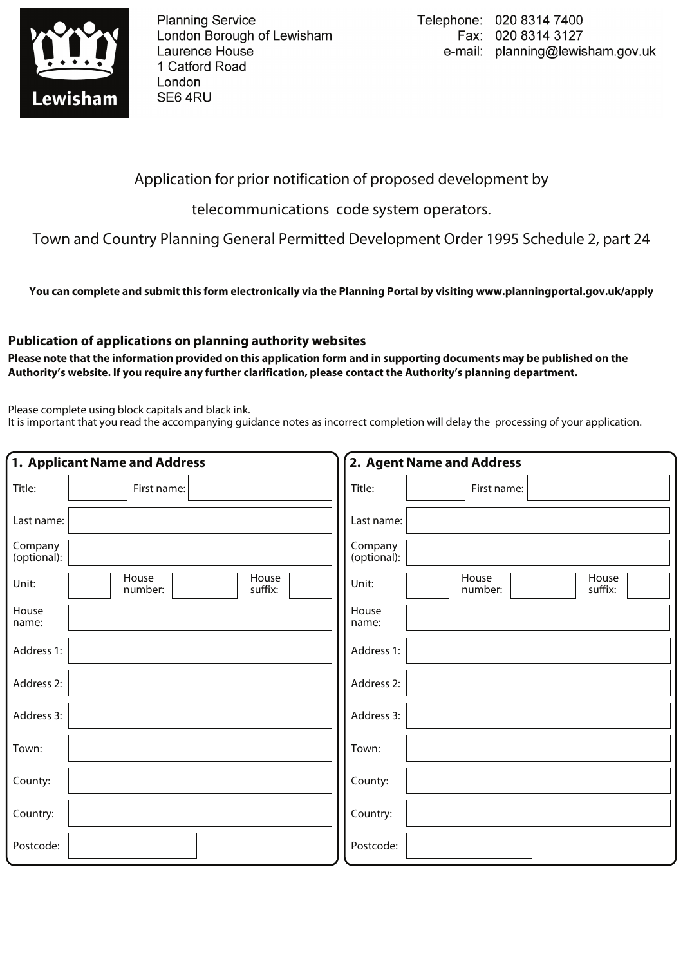

**Planning Service** London Borough of Lewisham Laurence House 1 Catford Road London SE64RU

## Application for prior notification of proposed development by

telecommunications code system operators.

Town and Country Planning General Permitted Development Order 1995 Schedule 2, part 24

**You can complete and submit this form electronically via the Planning Portal by visiting www.planningportal.gov.uk/apply**

## **Publication of applications on planning authority websites**

**Please note that the information provided on this application form and in supporting documents may be published on the Authority's website. If you require any further clarification, please contact the Authority's planning department.**

Please complete using block capitals and black ink.

It is important that you read the accompanying guidance notes as incorrect completion will delay the processing of your application.

| 1. Applicant Name and Address |                                      | 2. Agent Name and Address                     |
|-------------------------------|--------------------------------------|-----------------------------------------------|
| Title:                        | First name:                          | Title:<br>First name:                         |
| Last name:                    |                                      | Last name:                                    |
| Company<br>(optional):        |                                      | Company<br>(optional):                        |
| Unit:                         | House<br>House<br>suffix:<br>number: | House<br>House<br>Unit:<br>suffix:<br>number: |
| House<br>name:                |                                      | House<br>name:                                |
| Address 1:                    |                                      | Address 1:                                    |
| Address 2:                    |                                      | Address 2:                                    |
| Address 3:                    |                                      | Address 3:                                    |
| Town:                         |                                      | Town:                                         |
| County:                       |                                      | County:                                       |
| Country:                      |                                      | Country:                                      |
| Postcode:                     |                                      | Postcode:                                     |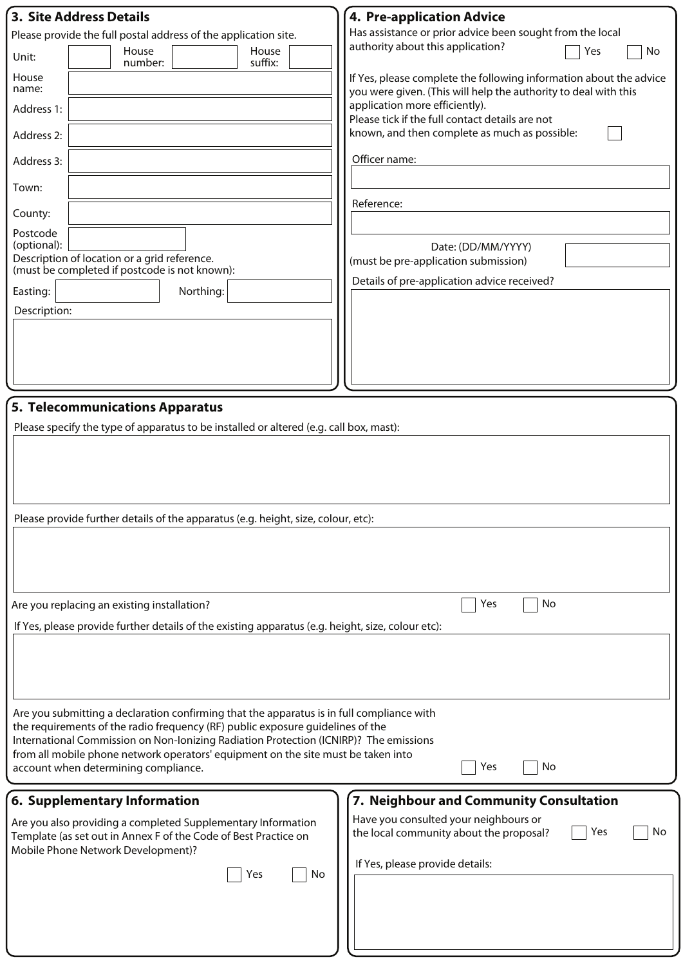| 3. Site Address Details                                                                           | 4. Pre-application Advice                                                                                                             |  |  |  |
|---------------------------------------------------------------------------------------------------|---------------------------------------------------------------------------------------------------------------------------------------|--|--|--|
| Please provide the full postal address of the application site.                                   | Has assistance or prior advice been sought from the local                                                                             |  |  |  |
| House<br>House<br>Unit:<br>suffix:<br>number:                                                     | authority about this application?<br>Yes<br>No                                                                                        |  |  |  |
| House<br>name:                                                                                    | If Yes, please complete the following information about the advice<br>you were given. (This will help the authority to deal with this |  |  |  |
| Address 1:                                                                                        | application more efficiently).<br>Please tick if the full contact details are not                                                     |  |  |  |
| Address 2:                                                                                        | known, and then complete as much as possible:                                                                                         |  |  |  |
| Address 3:                                                                                        | Officer name:                                                                                                                         |  |  |  |
| Town:                                                                                             |                                                                                                                                       |  |  |  |
| County:                                                                                           | Reference:                                                                                                                            |  |  |  |
| Postcode                                                                                          |                                                                                                                                       |  |  |  |
| (optional):                                                                                       | Date: (DD/MM/YYYY)                                                                                                                    |  |  |  |
| Description of location or a grid reference.<br>(must be completed if postcode is not known):     | (must be pre-application submission)                                                                                                  |  |  |  |
| Northing:<br>Easting:                                                                             | Details of pre-application advice received?                                                                                           |  |  |  |
| Description:                                                                                      |                                                                                                                                       |  |  |  |
|                                                                                                   |                                                                                                                                       |  |  |  |
|                                                                                                   |                                                                                                                                       |  |  |  |
|                                                                                                   |                                                                                                                                       |  |  |  |
| 5. Telecommunications Apparatus                                                                   |                                                                                                                                       |  |  |  |
|                                                                                                   |                                                                                                                                       |  |  |  |
| Please specify the type of apparatus to be installed or altered (e.g. call box, mast):            |                                                                                                                                       |  |  |  |
|                                                                                                   |                                                                                                                                       |  |  |  |
|                                                                                                   |                                                                                                                                       |  |  |  |
|                                                                                                   |                                                                                                                                       |  |  |  |
|                                                                                                   |                                                                                                                                       |  |  |  |
| Please provide further details of the apparatus (e.g. height, size, colour, etc):                 |                                                                                                                                       |  |  |  |
|                                                                                                   |                                                                                                                                       |  |  |  |
|                                                                                                   |                                                                                                                                       |  |  |  |
|                                                                                                   |                                                                                                                                       |  |  |  |
|                                                                                                   |                                                                                                                                       |  |  |  |
| Are you replacing an existing installation?                                                       | No<br>Yes                                                                                                                             |  |  |  |
| If Yes, please provide further details of the existing apparatus (e.g. height, size, colour etc): |                                                                                                                                       |  |  |  |
|                                                                                                   |                                                                                                                                       |  |  |  |
|                                                                                                   |                                                                                                                                       |  |  |  |
|                                                                                                   |                                                                                                                                       |  |  |  |
| Are you submitting a declaration confirming that the apparatus is in full compliance with         |                                                                                                                                       |  |  |  |
| the requirements of the radio frequency (RF) public exposure guidelines of the                    |                                                                                                                                       |  |  |  |
| International Commission on Non-Ionizing Radiation Protection (ICNIRP)? The emissions             |                                                                                                                                       |  |  |  |
| from all mobile phone network operators' equipment on the site must be taken into                 |                                                                                                                                       |  |  |  |
| account when determining compliance.                                                              | No<br>Yes                                                                                                                             |  |  |  |
| 6. Supplementary Information                                                                      | 7. Neighbour and Community Consultation                                                                                               |  |  |  |
|                                                                                                   |                                                                                                                                       |  |  |  |
| Are you also providing a completed Supplementary Information                                      | Have you consulted your neighbours or<br>Yes<br>No<br>the local community about the proposal?                                         |  |  |  |
| Template (as set out in Annex F of the Code of Best Practice on                                   |                                                                                                                                       |  |  |  |
| Mobile Phone Network Development)?                                                                | If Yes, please provide details:                                                                                                       |  |  |  |
| No<br>Yes                                                                                         |                                                                                                                                       |  |  |  |
|                                                                                                   |                                                                                                                                       |  |  |  |
|                                                                                                   |                                                                                                                                       |  |  |  |
|                                                                                                   |                                                                                                                                       |  |  |  |